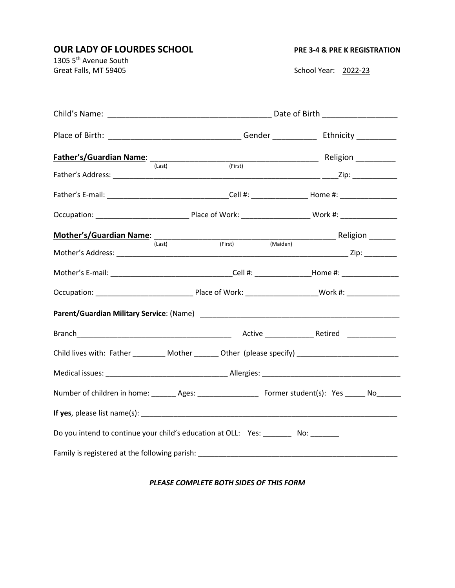## **OUR LADY OF LOURDES SCHOOL** PRE 3-4 & PRE K REGISTRATION

1305 5<sup>th</sup> Avenue South Great Falls, MT 59405 School Year: 2022-23

|                                                                                                         | Date of Birth ____________________                                                                        |         |  |          |  |  |
|---------------------------------------------------------------------------------------------------------|-----------------------------------------------------------------------------------------------------------|---------|--|----------|--|--|
|                                                                                                         | Place of Birth: __________________________________Gender _______________________ Ethnicity ______________ |         |  |          |  |  |
|                                                                                                         | (Last)                                                                                                    | (First) |  |          |  |  |
|                                                                                                         |                                                                                                           |         |  |          |  |  |
|                                                                                                         |                                                                                                           |         |  |          |  |  |
|                                                                                                         |                                                                                                           |         |  |          |  |  |
|                                                                                                         |                                                                                                           |         |  |          |  |  |
|                                                                                                         | (Last)                                                                                                    | (First) |  | (Maiden) |  |  |
| Mother's E-mail: ___________________________________Cell #: ________________Home #: ________________    |                                                                                                           |         |  |          |  |  |
|                                                                                                         |                                                                                                           |         |  |          |  |  |
|                                                                                                         |                                                                                                           |         |  |          |  |  |
|                                                                                                         |                                                                                                           |         |  |          |  |  |
| Child lives with: Father __________ Mother _______ Other (please specify) __________________________    |                                                                                                           |         |  |          |  |  |
|                                                                                                         |                                                                                                           |         |  |          |  |  |
| Number of children in home: _______ Ages: ______________________ Former student(s): Yes ______ No______ |                                                                                                           |         |  |          |  |  |
|                                                                                                         |                                                                                                           |         |  |          |  |  |
| Do you intend to continue your child's education at OLL: Yes: ________ No: ______                       |                                                                                                           |         |  |          |  |  |
| Family is registered at the following parish: __________________________________                        |                                                                                                           |         |  |          |  |  |

## *PLEASE COMPLETE BOTH SIDES OF THIS FORM*